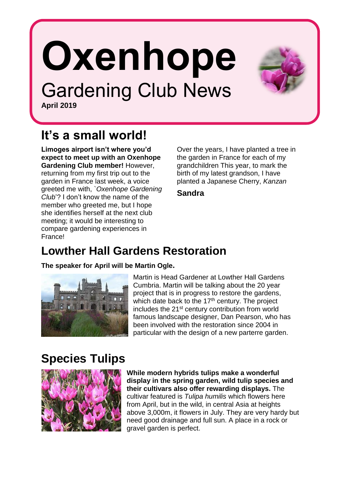# **Oxenhope** Gardening Club News

**April 2019**

### **It's a small world!**

**Limoges airport isn't where you'd expect to meet up with an Oxenhope Gardening Club member!** However, returning from my first trip out to the garden in France last week, a voice greeted me with, `*Oxenhope Gardening Club*'? I don't know the name of the member who greeted me, but I hope she identifies herself at the next club meeting; it would be interesting to compare gardening experiences in France!

Over the years, I have planted a tree in the garden in France for each of my grandchildren This year, to mark the birth of my latest grandson. I have planted a Japanese Cherry, *Kanzan*

**Sandra**

#### **Lowther Hall Gardens Restoration**

**The speaker for April will be Martin Ogle.**



Martin is Head Gardener at Lowther Hall Gardens Cumbria. Martin will be talking about the 20 year project that is in progress to restore the gardens, which date back to the 17<sup>th</sup> century. The project includes the 21<sup>st</sup> century contribution from world famous landscape designer, Dan Pearson, who has been involved with the restoration since 2004 in particular with the design of a new parterre garden.

#### **Species Tulips**



**While modern hybrids tulips make a wonderful display in the spring garden, wild tulip species and their cultivars also offer rewarding displays.** The cultivar featured is *Tulipa humilis* which flowers here from April, but in the wild, in central Asia at heights above 3,000m, it flowers in July. They are very hardy but need good drainage and full sun. A place in a rock or gravel garden is perfect.